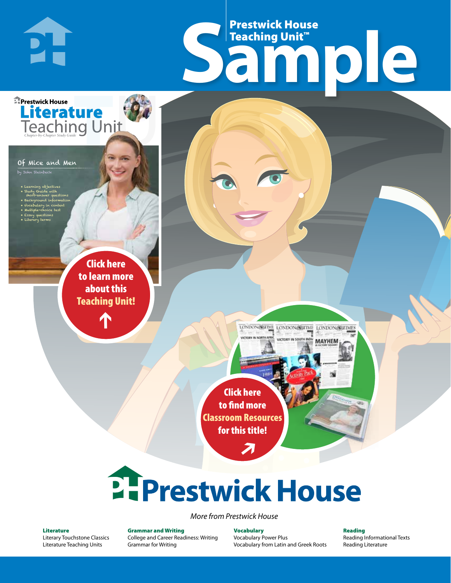# Frestwick House<br>
Sample **Prestwick House**<br>Teaching Unit<sup>\*\*</sup> Teaching Unit™

LONDON-SCITME LONDON/SCITME LONDON/SCITMES

MAYHEM

Of Mice and Men

PI-

**E** Prestwick House

**Literature** 

skeinbeck<br>Skeinbeck

• Learning objectives • Study Guide with short-answer questions • Background information • Vocabulary in context • Multiple-choice test

CHARLES DICKENS

**A Tale of Two Cities**

• Essay questions • Literary terms

> r e o r d e r n o . x x x x x x Click here to learn more about this [Teaching Unit!](https://www.prestwickhouse.com/book/id-300790/Of_Mice_and_Men_-_Teaching_Unit)

> > $\mathbf{T}$

1

Click here to find more [Classroom Resources](http://teaching-english.prestwickhouse.com/search?w=of%20mice%20and%20men)  for this title!

 $\overline{\boldsymbol{\lambda}}$ 

# **2. Prestwick House**

*More from Prestwick House*

#### Literature

[Literary Touchstone Classics](https://www.prestwickhouse.com/literary-touchstone-classics) [Literature Teaching Units](https://www.prestwickhouse.com/teaching-units)

Grammar and Writing [College and Career Readiness: Writing](https://www.prestwickhouse.com/college-and-career-readiness-writing) [Grammar for Writing](https://www.prestwickhouse.com/book/id-302639/Grammar_for_Writing_-_30_Books_and_Teachers_Edition)

Vocabulary [Vocabulary Power Plus](https://www.prestwickhouse.com/vocabulary-power-plus-for-college-and-career-readiness) [Vocabulary from Latin and Greek Roots](https://www.prestwickhouse.com/vocabulary-from-latin-and-greek-roots) Reading

[Reading Informational Texts](https://www.prestwickhouse.com/reading-informational-texts) [Reading Literature](https://www.prestwickhouse.com/reading-literature)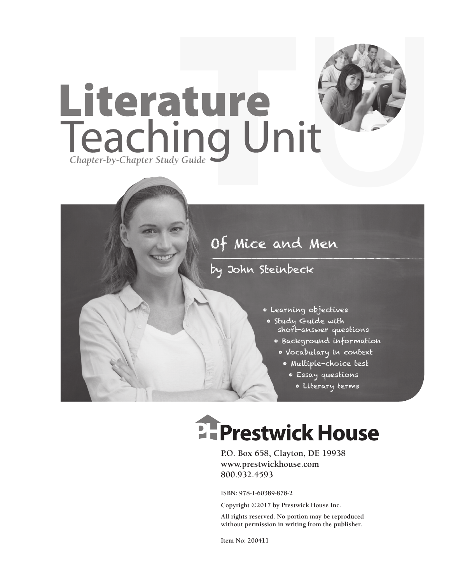

#### by John Steinbeck

- Learning objectives
- Study Guide with short-answer questions
	- Background information
		- Vocabulary in context
			- Multiple-choice test
				- Essay questions
					- Literary terms

# **EFPrestwick House**

**P.O. Box 658, Clayton, DE 19938 www.prestwickhouse.com 800.932.4593**

**ISBN: 978-1-60389-878-2**

**Copyright ©2017 by Prestwick House Inc.**

**All rights reserved. No portion may be reproduced without permission in writing from the publisher.** 

**Item No: 200411**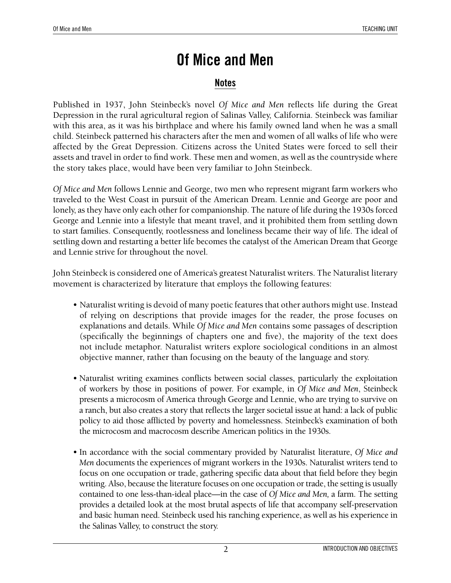#### **Notes**

Published in 1937, John Steinbeck's novel *Of Mice and Men* reflects life during the Great Depression in the rural agricultural region of Salinas Valley, California. Steinbeck was familiar with this area, as it was his birthplace and where his family owned land when he was a small child. Steinbeck patterned his characters after the men and women of all walks of life who were affected by the Great Depression. Citizens across the United States were forced to sell their assets and travel in order to find work. These men and women, as well as the countryside where the story takes place, would have been very familiar to John Steinbeck.

*Of Mice and Men* follows Lennie and George, two men who represent migrant farm workers who traveled to the West Coast in pursuit of the American Dream. Lennie and George are poor and lonely, as they have only each other for companionship. The nature of life during the 1930s forced George and Lennie into a lifestyle that meant travel, and it prohibited them from settling down to start families. Consequently, rootlessness and loneliness became their way of life. The ideal of settling down and restarting a better life becomes the catalyst of the American Dream that George and Lennie strive for throughout the novel.

John Steinbeck is considered one of America's greatest Naturalist writers. The Naturalist literary movement is characterized by literature that employs the following features:

- Naturalist writing is devoid of many poetic features that other authors might use. Instead of relying on descriptions that provide images for the reader, the prose focuses on explanations and details. While *Of Mice and Men* contains some passages of description (specifically the beginnings of chapters one and five), the majority of the text does not include metaphor. Naturalist writers explore sociological conditions in an almost objective manner, rather than focusing on the beauty of the language and story.
- Naturalist writing examines conflicts between social classes, particularly the exploitation of workers by those in positions of power. For example, in *Of Mice and Men*, Steinbeck presents a microcosm of America through George and Lennie, who are trying to survive on a ranch, but also creates a story that reflects the larger societal issue at hand: a lack of public policy to aid those afflicted by poverty and homelessness. Steinbeck's examination of both the microcosm and macrocosm describe American politics in the 1930s.
- In accordance with the social commentary provided by Naturalist literature, *Of Mice and Men* documents the experiences of migrant workers in the 1930s. Naturalist writers tend to focus on one occupation or trade, gathering specific data about that field before they begin writing. Also, because the literature focuses on one occupation or trade, the setting is usually contained to one less-than-ideal place—in the case of *Of Mice and Men,* a farm. The setting provides a detailed look at the most brutal aspects of life that accompany self-preservation and basic human need. Steinbeck used his ranching experience, as well as his experience in the Salinas Valley, to construct the story.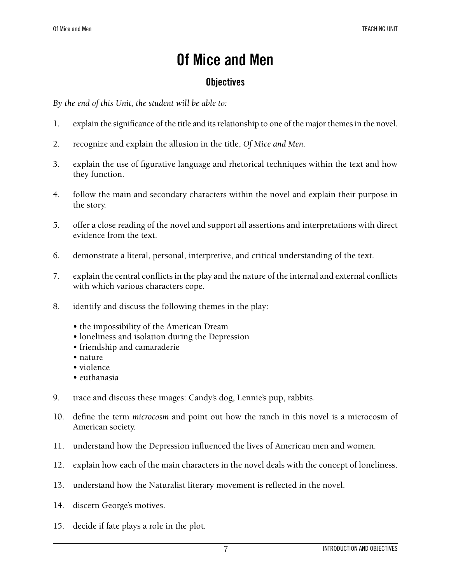#### **Objectives**

*By the end of this Unit, the student will be able to:*

- 1. explain the significance of the title and its relationship to one of the major themes in the novel.
- 2. recognize and explain the allusion in the title, *Of Mice and Men.*
- 3. explain the use of figurative language and rhetorical techniques within the text and how they function.
- 4. follow the main and secondary characters within the novel and explain their purpose in the story.
- 5. offer a close reading of the novel and support all assertions and interpretations with direct evidence from the text.
- 6. demonstrate a literal, personal, interpretive, and critical understanding of the text.
- 7. explain the central conflicts in the play and the nature of the internal and external conflicts with which various characters cope.
- 8. identify and discuss the following themes in the play:
	- the impossibility of the American Dream
	- loneliness and isolation during the Depression
	- friendship and camaraderie
	- nature
	- violence
	- euthanasia
- 9. trace and discuss these images: Candy's dog, Lennie's pup, rabbits.
- 10. define the term *microcosm* and point out how the ranch in this novel is a microcosm of American society.
- 11. understand how the Depression influenced the lives of American men and women.
- 12. explain how each of the main characters in the novel deals with the concept of loneliness.
- 13. understand how the Naturalist literary movement is reflected in the novel.
- 14. discern George's motives.
- 15. decide if fate plays a role in the plot.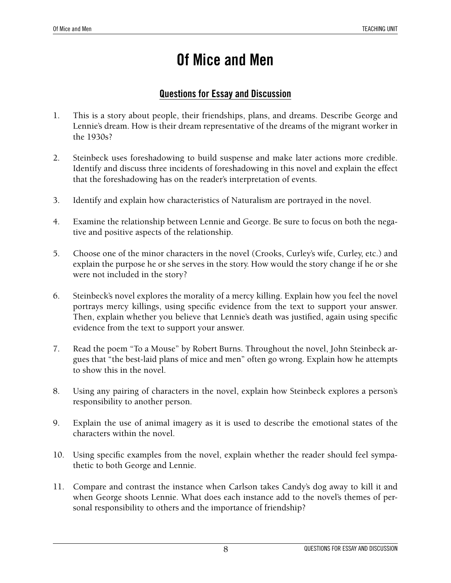#### **Questions for Essay and Discussion**

- 1. This is a story about people, their friendships, plans, and dreams. Describe George and Lennie's dream. How is their dream representative of the dreams of the migrant worker in the 1930s?
- 2. Steinbeck uses foreshadowing to build suspense and make later actions more credible. Identify and discuss three incidents of foreshadowing in this novel and explain the effect that the foreshadowing has on the reader's interpretation of events.
- 3. Identify and explain how characteristics of Naturalism are portrayed in the novel.
- 4. Examine the relationship between Lennie and George. Be sure to focus on both the negative and positive aspects of the relationship.
- 5. Choose one of the minor characters in the novel (Crooks, Curley's wife, Curley, etc.) and explain the purpose he or she serves in the story. How would the story change if he or she were not included in the story?
- 6. Steinbeck's novel explores the morality of a mercy killing. Explain how you feel the novel portrays mercy killings, using specific evidence from the text to support your answer. Then, explain whether you believe that Lennie's death was justified, again using specific evidence from the text to support your answer.
- 7. Read the poem "To a Mouse" by Robert Burns. Throughout the novel, John Steinbeck argues that "the best-laid plans of mice and men" often go wrong. Explain how he attempts to show this in the novel.
- 8. Using any pairing of characters in the novel, explain how Steinbeck explores a person's responsibility to another person.
- 9. Explain the use of animal imagery as it is used to describe the emotional states of the characters within the novel.
- 10. Using specific examples from the novel, explain whether the reader should feel sympathetic to both George and Lennie.
- 11. Compare and contrast the instance when Carlson takes Candy's dog away to kill it and when George shoots Lennie. What does each instance add to the novel's themes of personal responsibility to others and the importance of friendship?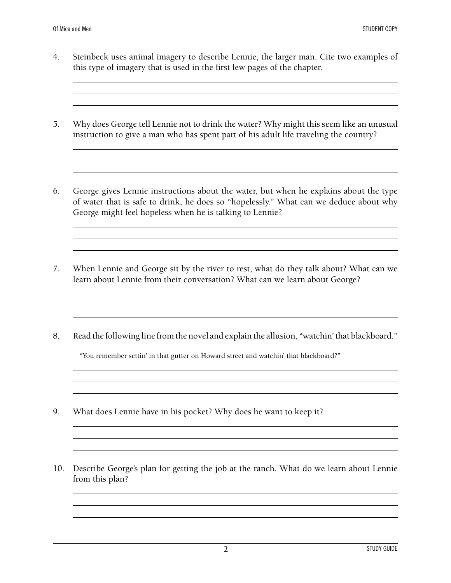- 4. Steinbeck uses animal imagery to describe Lennie, the larger man. Cite two examples of this type of imagery that is used in the first few pages of the chapter.
- 5. Why does George tell Lennie not to drink the water? Why might this seem like an unusual instruction to give a man who has spent part of his adult life traveling the country?

<u> 1989 - Johann Stoff, deutscher Stoffen und der Stoffen und der Stoffen und der Stoffen und der Stoffen und de</u>

6. George gives Lennie instructions about the water, but when he explains about the type of water that is safe to drink, he does so "hopelessly." What can we deduce about why George might feel hopeless when he is talking to Lennie?

- 7. When Lennie and George sit by the river to rest, what do they talk about? What can we learn about Lennie from their conversation? What can we learn about George?
- 8. Read the following line from the novel and explain the allusion, "watchin' that blackboard."

"You remember settin' in that gutter on Howard street and watchin' that blackboard?"

- 9. What does Lennie have in his pocket? Why does he want to keep it?
- 10. Describe George's plan for getting the job at the ranch. What do we learn about Lennie from this plan?